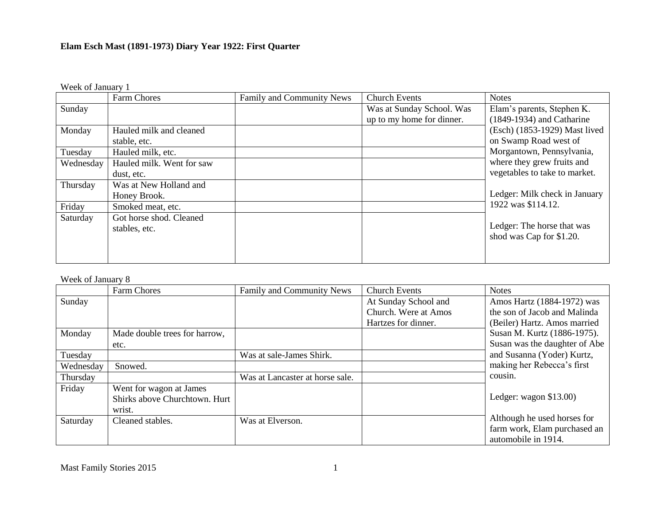Week of January 1

|           | Farm Chores               | Family and Community News | <b>Church Events</b>      | <b>Notes</b>                  |
|-----------|---------------------------|---------------------------|---------------------------|-------------------------------|
| Sunday    |                           |                           | Was at Sunday School. Was | Elam's parents, Stephen K.    |
|           |                           |                           | up to my home for dinner. | $(1849-1934)$ and Catharine   |
| Monday    | Hauled milk and cleaned   |                           |                           | (Esch) (1853-1929) Mast lived |
|           | stable, etc.              |                           |                           | on Swamp Road west of         |
| Tuesday   | Hauled milk, etc.         |                           |                           | Morgantown, Pennsylvania,     |
| Wednesday | Hauled milk. Went for saw |                           |                           | where they grew fruits and    |
|           | dust, etc.                |                           |                           | vegetables to take to market. |
| Thursday  | Was at New Holland and    |                           |                           |                               |
|           | Honey Brook.              |                           |                           | Ledger: Milk check in January |
| Friday    | Smoked meat, etc.         |                           |                           | 1922 was \$114.12.            |
| Saturday  | Got horse shod. Cleaned   |                           |                           |                               |
|           | stables, etc.             |                           |                           | Ledger: The horse that was    |
|           |                           |                           |                           | shod was Cap for \$1.20.      |
|           |                           |                           |                           |                               |
|           |                           |                           |                           |                               |

## Week of January 8

|           | Farm Chores                   | Family and Community News       | <b>Church Events</b> | <b>Notes</b>                  |
|-----------|-------------------------------|---------------------------------|----------------------|-------------------------------|
| Sunday    |                               |                                 | At Sunday School and | Amos Hartz (1884-1972) was    |
|           |                               |                                 | Church. Were at Amos | the son of Jacob and Malinda  |
|           |                               |                                 | Hartzes for dinner.  | (Beiler) Hartz. Amos married  |
| Monday    | Made double trees for harrow, |                                 |                      | Susan M. Kurtz (1886-1975).   |
|           | etc.                          |                                 |                      | Susan was the daughter of Abe |
| Tuesday   |                               | Was at sale-James Shirk.        |                      | and Susanna (Yoder) Kurtz,    |
| Wednesday | Snowed.                       |                                 |                      | making her Rebecca's first    |
| Thursday  |                               | Was at Lancaster at horse sale. |                      | cousin.                       |
| Friday    | Went for wagon at James       |                                 |                      |                               |
|           | Shirks above Churchtown. Hurt |                                 |                      | Ledger: wagon $$13.00$ )      |
|           | wrist.                        |                                 |                      |                               |
| Saturday  | Cleaned stables.              | Was at Elverson.                |                      | Although he used horses for   |
|           |                               |                                 |                      | farm work, Elam purchased an  |
|           |                               |                                 |                      | automobile in 1914.           |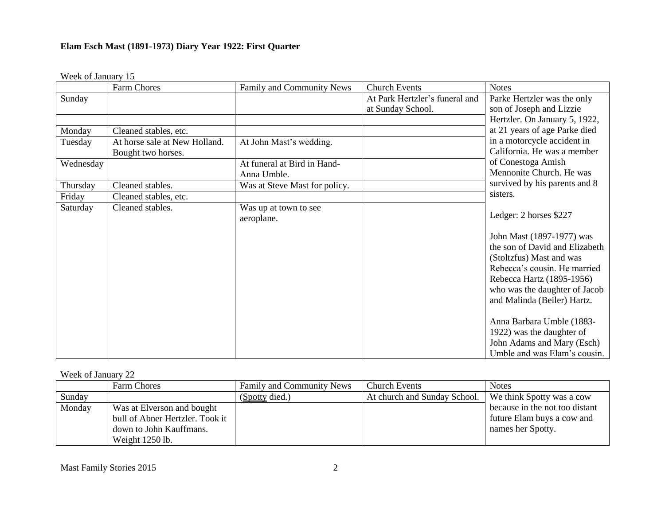## Week of January 15

|           | <b>Farm Chores</b>            | Family and Community News           | <b>Church Events</b>           | <b>Notes</b>                   |
|-----------|-------------------------------|-------------------------------------|--------------------------------|--------------------------------|
| Sunday    |                               |                                     | At Park Hertzler's funeral and | Parke Hertzler was the only    |
|           |                               |                                     | at Sunday School.              | son of Joseph and Lizzie       |
|           |                               |                                     |                                | Hertzler. On January 5, 1922,  |
| Monday    | Cleaned stables, etc.         |                                     |                                | at 21 years of age Parke died  |
| Tuesday   | At horse sale at New Holland. | At John Mast's wedding.             |                                | in a motorcycle accident in    |
|           | Bought two horses.            |                                     |                                | California. He was a member    |
| Wednesday |                               | At funeral at Bird in Hand-         |                                | of Conestoga Amish             |
|           |                               | Anna Umble.                         |                                | Mennonite Church. He was       |
| Thursday  | Cleaned stables.              | Was at Steve Mast for policy.       |                                | survived by his parents and 8  |
| Friday    | Cleaned stables, etc.         |                                     |                                | sisters.                       |
| Saturday  | Cleaned stables.              | Was up at town to see<br>aeroplane. |                                | Ledger: 2 horses \$227         |
|           |                               |                                     |                                | John Mast (1897-1977) was      |
|           |                               |                                     |                                | the son of David and Elizabeth |
|           |                               |                                     |                                | (Stoltzfus) Mast and was       |
|           |                               |                                     |                                | Rebecca's cousin. He married   |
|           |                               |                                     |                                | Rebecca Hartz (1895-1956)      |
|           |                               |                                     |                                | who was the daughter of Jacob  |
|           |                               |                                     |                                | and Malinda (Beiler) Hartz.    |
|           |                               |                                     |                                | Anna Barbara Umble (1883-      |
|           |                               |                                     |                                | 1922) was the daughter of      |
|           |                               |                                     |                                | John Adams and Mary (Esch)     |
|           |                               |                                     |                                | Umble and was Elam's cousin.   |

## Week of January 22

|        | <b>Farm Chores</b>              | <b>Family and Community News</b> | <b>Church Events</b>         | <b>Notes</b>                   |
|--------|---------------------------------|----------------------------------|------------------------------|--------------------------------|
| Sunday |                                 | (Spotty died.)                   | At church and Sunday School. | We think Spotty was a cow      |
| Monday | Was at Elverson and bought      |                                  |                              | because in the not too distant |
|        | bull of Abner Hertzler. Took it |                                  |                              | future Elam buys a cow and     |
|        | down to John Kauffmans.         |                                  |                              | names her Spotty.              |
|        | Weight 1250 lb.                 |                                  |                              |                                |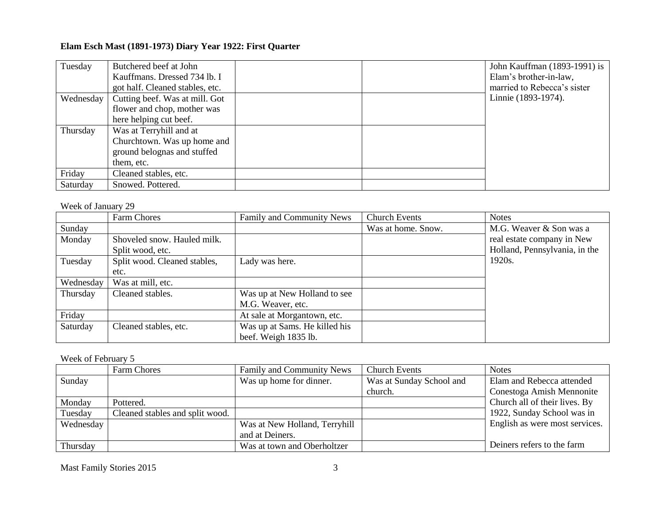| Tuesday   | Butchered beef at John          |  | John Kauffman (1893-1991) is |
|-----------|---------------------------------|--|------------------------------|
|           | Kauffmans. Dressed 734 lb. I    |  | Elam's brother-in-law,       |
|           | got half. Cleaned stables, etc. |  | married to Rebecca's sister  |
| Wednesday | Cutting beef. Was at mill. Got  |  | Linnie (1893-1974).          |
|           | flower and chop, mother was     |  |                              |
|           | here helping cut beef.          |  |                              |
| Thursday  | Was at Terryhill and at         |  |                              |
|           | Churchtown. Was up home and     |  |                              |
|           | ground belognas and stuffed     |  |                              |
|           | them, etc.                      |  |                              |
| Friday    | Cleaned stables, etc.           |  |                              |
| Saturday  | Snowed. Pottered.               |  |                              |

#### Week of January 29

|           | Farm Chores                  | Family and Community News     | <b>Church Events</b> | <b>Notes</b>                  |
|-----------|------------------------------|-------------------------------|----------------------|-------------------------------|
| Sunday    |                              |                               | Was at home. Snow.   | M.G. Weaver & Son was a       |
| Monday    | Shoveled snow. Hauled milk.  |                               |                      | real estate company in New    |
|           | Split wood, etc.             |                               |                      | Holland, Pennsylvania, in the |
| Tuesday   | Split wood. Cleaned stables, | Lady was here.                |                      | 1920s.                        |
|           | etc.                         |                               |                      |                               |
| Wednesday | Was at mill, etc.            |                               |                      |                               |
| Thursday  | Cleaned stables.             | Was up at New Holland to see  |                      |                               |
|           |                              | M.G. Weaver, etc.             |                      |                               |
| Friday    |                              | At sale at Morgantown, etc.   |                      |                               |
| Saturday  | Cleaned stables, etc.        | Was up at Sams. He killed his |                      |                               |
|           |                              | beef. Weigh 1835 lb.          |                      |                               |

Week of February 5

|           | Farm Chores                     | Family and Community News     | <b>Church Events</b>     | <b>Notes</b>                   |
|-----------|---------------------------------|-------------------------------|--------------------------|--------------------------------|
| Sunday    |                                 | Was up home for dinner.       | Was at Sunday School and | Elam and Rebecca attended      |
|           |                                 |                               | church.                  | Conestoga Amish Mennonite      |
| Monday    | Pottered.                       |                               |                          | Church all of their lives. By  |
| Tuesday   | Cleaned stables and split wood. |                               |                          | 1922, Sunday School was in     |
| Wednesday |                                 | Was at New Holland, Terryhill |                          | English as were most services. |
|           |                                 | and at Deiners.               |                          |                                |
| Thursday  |                                 | Was at town and Oberholtzer   |                          | Deiners refers to the farm     |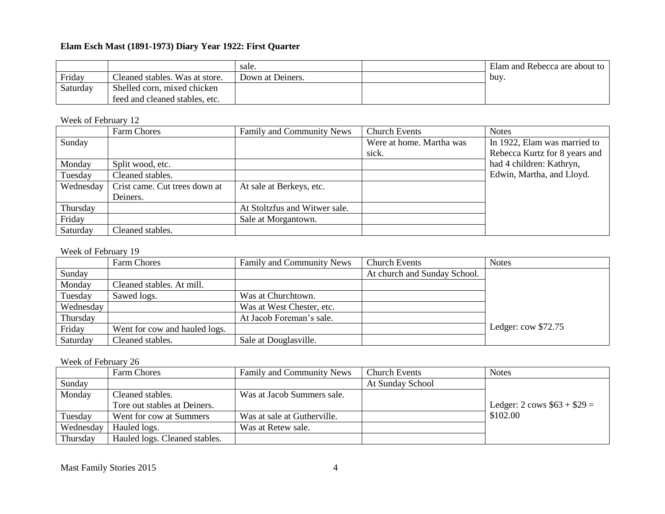|          |                                | sale.            | Elam and Rebecca are about to |
|----------|--------------------------------|------------------|-------------------------------|
| Friday   | Cleaned stables. Was at store. | Down at Deiners. | buv.                          |
| Saturday | Shelled corn, mixed chicken    |                  |                               |
|          | feed and cleaned stables, etc. |                  |                               |

## Week of February 12

|           | Farm Chores                   | Family and Community News     | <b>Church Events</b>     | <b>Notes</b>                  |
|-----------|-------------------------------|-------------------------------|--------------------------|-------------------------------|
| Sunday    |                               |                               | Were at home. Martha was | In 1922, Elam was married to  |
|           |                               |                               | sick.                    | Rebecca Kurtz for 8 years and |
| Monday    | Split wood, etc.              |                               |                          | had 4 children: Kathryn,      |
| Tuesday   | Cleaned stables.              |                               |                          | Edwin, Martha, and Lloyd.     |
| Wednesday | Crist came. Cut trees down at | At sale at Berkeys, etc.      |                          |                               |
|           | Deiners.                      |                               |                          |                               |
| Thursday  |                               | At Stoltzfus and Witwer sale. |                          |                               |
| Friday    |                               | Sale at Morgantown.           |                          |                               |
| Saturday  | Cleaned stables.              |                               |                          |                               |

#### Week of February 19

|           | Farm Chores                   | <b>Family and Community News</b> | <b>Church Events</b>         | <b>Notes</b>           |
|-----------|-------------------------------|----------------------------------|------------------------------|------------------------|
| Sunday    |                               |                                  | At church and Sunday School. |                        |
| Monday    | Cleaned stables. At mill.     |                                  |                              |                        |
| Tuesday   | Sawed logs.                   | Was at Churchtown.               |                              |                        |
| Wednesday |                               | Was at West Chester, etc.        |                              |                        |
| Thursday  |                               | At Jacob Foreman's sale.         |                              |                        |
| Friday    | Went for cow and hauled logs. |                                  |                              | Ledger: $\cos \$72.75$ |
| Saturday  | Cleaned stables.              | Sale at Douglasville.            |                              |                        |

## Week of February 26

|           | Farm Chores                   | Family and Community News   | Church Events    | <b>Notes</b>                 |
|-----------|-------------------------------|-----------------------------|------------------|------------------------------|
| Sunday    |                               |                             | At Sunday School |                              |
| Monday    | Cleaned stables.              | Was at Jacob Summers sale.  |                  |                              |
|           | Tore out stables at Deiners.  |                             |                  | Ledger: 2 cows $$63 + $29 =$ |
| Tuesday   | Went for cow at Summers       | Was at sale at Gutherville. |                  | \$102.00                     |
| Wednesday | Hauled logs.                  | Was at Retew sale.          |                  |                              |
| Thursday  | Hauled logs. Cleaned stables. |                             |                  |                              |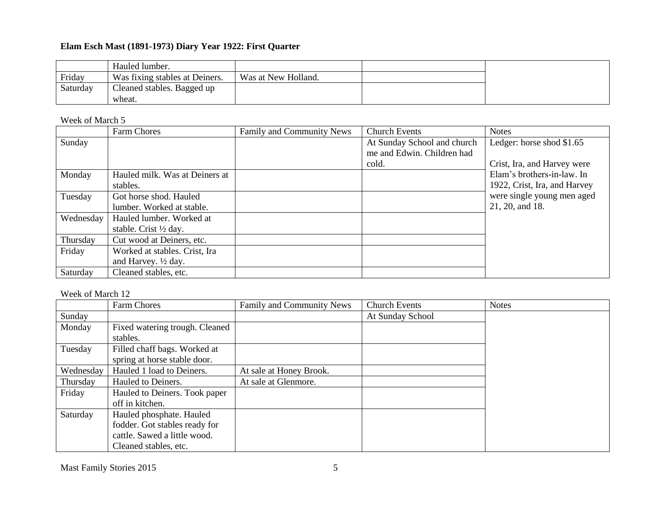|          | Hauled lumber.                       |                     |  |
|----------|--------------------------------------|---------------------|--|
| Friday   | Was fixing stables at Deiners.       | Was at New Holland. |  |
| Saturday | Cleaned stables. Bagged up<br>wheat. |                     |  |

Week of March 5

|           | Farm Chores                      | Family and Community News | <b>Church Events</b>        | <b>Notes</b>                 |
|-----------|----------------------------------|---------------------------|-----------------------------|------------------------------|
| Sunday    |                                  |                           | At Sunday School and church | Ledger: horse shod \$1.65    |
|           |                                  |                           | me and Edwin. Children had  |                              |
|           |                                  |                           | cold.                       | Crist, Ira, and Harvey were  |
| Monday    | Hauled milk. Was at Deiners at   |                           |                             | Elam's brothers-in-law. In   |
|           | stables.                         |                           |                             | 1922, Crist, Ira, and Harvey |
| Tuesday   | Got horse shod. Hauled           |                           |                             | were single young men aged   |
|           | lumber. Worked at stable.        |                           |                             | 21, 20, and 18.              |
| Wednesday | Hauled lumber. Worked at         |                           |                             |                              |
|           | stable. Crist $\frac{1}{2}$ day. |                           |                             |                              |
| Thursday  | Cut wood at Deiners, etc.        |                           |                             |                              |
| Friday    | Worked at stables. Crist, Ira    |                           |                             |                              |
|           | and Harvey. $\frac{1}{2}$ day.   |                           |                             |                              |
| Saturday  | Cleaned stables, etc.            |                           |                             |                              |

#### Week of March 12

|           | Farm Chores                    | Family and Community News | <b>Church Events</b> | <b>Notes</b> |
|-----------|--------------------------------|---------------------------|----------------------|--------------|
| Sunday    |                                |                           | At Sunday School     |              |
| Monday    | Fixed watering trough. Cleaned |                           |                      |              |
|           | stables.                       |                           |                      |              |
| Tuesday   | Filled chaff bags. Worked at   |                           |                      |              |
|           | spring at horse stable door.   |                           |                      |              |
| Wednesday | Hauled 1 load to Deiners.      | At sale at Honey Brook.   |                      |              |
| Thursday  | Hauled to Deiners.             | At sale at Glenmore.      |                      |              |
| Friday    | Hauled to Deiners. Took paper  |                           |                      |              |
|           | off in kitchen.                |                           |                      |              |
| Saturday  | Hauled phosphate. Hauled       |                           |                      |              |
|           | fodder. Got stables ready for  |                           |                      |              |
|           | cattle. Sawed a little wood.   |                           |                      |              |
|           | Cleaned stables, etc.          |                           |                      |              |